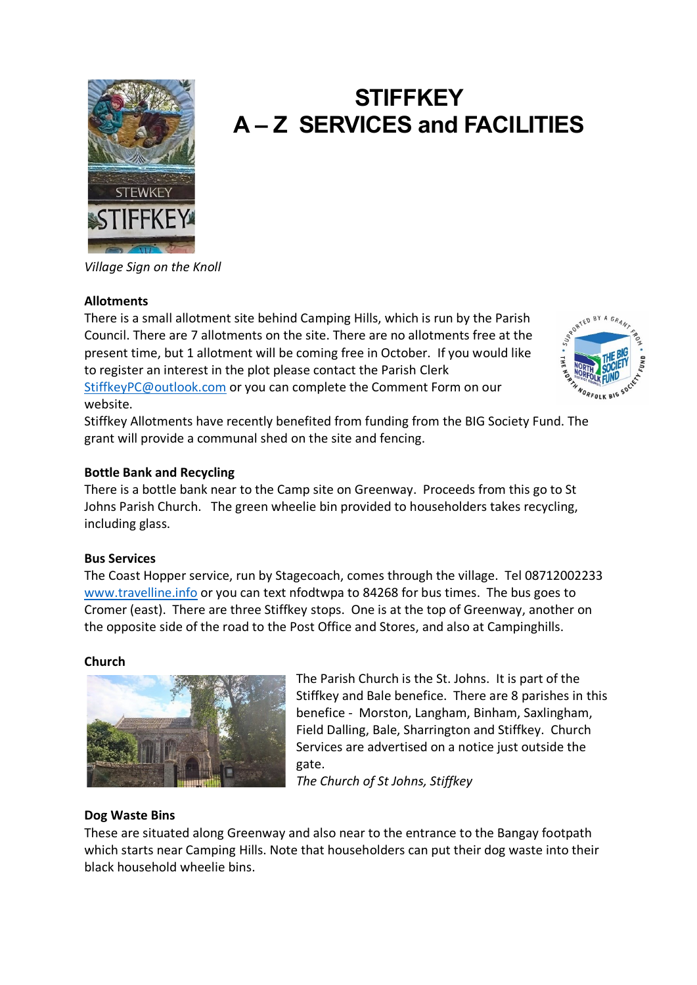

# **STIFFKEY A – Z SERVICES and FACILITIES**

*Village Sign on the Knoll*

# **Allotments**

There is a small allotment site behind Camping Hills, which is run by the Parish Council. There are 7 allotments on the site. There are no allotments free at the present time, but 1 allotment will be coming free in October. If you would like to register an interest in the plot please contact the Parish Clerk [StiffkeyPC@outlook.com](mailto:StiffkeyPC@outlook.com) or you can complete the Comment Form on our website.



Stiffkey Allotments have recently benefited from funding from the BIG Society Fund. The grant will provide a communal shed on the site and fencing.

# **Bottle Bank and Recycling**

There is a bottle bank near to the Camp site on Greenway. Proceeds from this go to St Johns Parish Church. The green wheelie bin provided to householders takes recycling, including glass.

# **Bus Services**

The Coast Hopper service, run by Stagecoach, comes through the village. Tel 08712002233 [www.travelline.info](http://www.travelline.info/) or you can text nfodtwpa to 84268 for bus times. The bus goes to Cromer (east). There are three Stiffkey stops. One is at the top of Greenway, another on the opposite side of the road to the Post Office and Stores, and also at Campinghills.

# **Church**



The Parish Church is the St. Johns. It is part of the Stiffkey and Bale benefice. There are 8 parishes in this benefice - Morston, Langham, Binham, Saxlingham, Field Dalling, Bale, Sharrington and Stiffkey. Church Services are advertised on a notice just outside the gate.

*The Church of St Johns, Stiffkey*

# **Dog Waste Bins**

These are situated along Greenway and also near to the entrance to the Bangay footpath which starts near Camping Hills. Note that householders can put their dog waste into their black household wheelie bins.